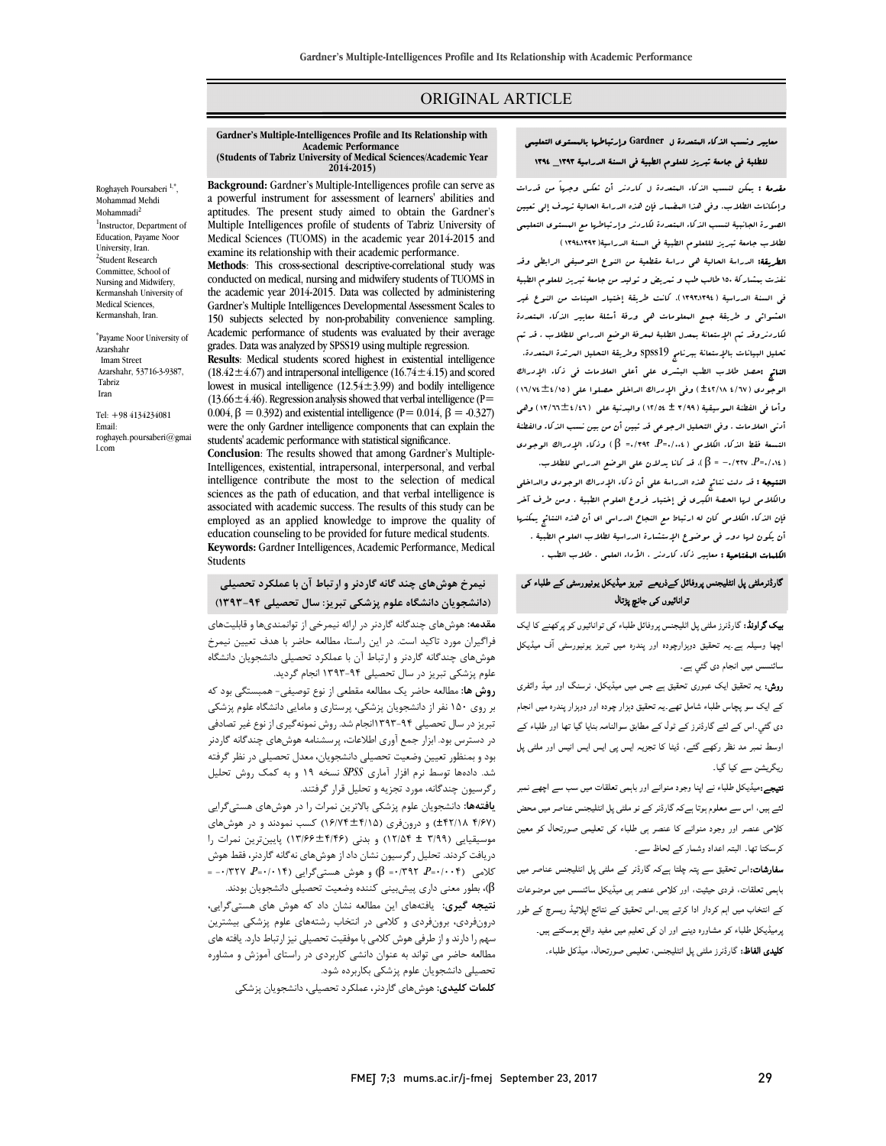## ORIGINAL ARTICLE

# معاییر ونسب الذکاء المتعددة ل **Gardner** وإرتباطها بالمستوى التعلیمی للطلبۀ فی جامعۀ تبریز للعلوم الطبیۀ فی السنۀ الدراسیۀ 1393**\_** 1394

Ī  $\overline{a}$ 

 مقدمۀ : یمکن لنسب الذکاء المتعددة ل کاردنر أن تعکس وجهاً من قدرات وإمکانات الطلاب. وفی هذا المضمار فإن هذه الدراسۀ الحالیۀ تهدف إلى تعیین الصورة الجانبیۀ لنسب الذکاء المتعددة لکاردنر وإرتباطها مع المستوى التعلیمی لطلاب جامعۀ تبریز لللعلوم الطبیۀ فی السنۀ الدراسیۀ(1393ـ1394) الطریقۀ: الدراسۀ الحالیۀ هی دراسۀ مقطعیۀ من النوع التوصیفی الرابطی وقد نفذت بمشارکۀ 150 طالب طب و تمریض و تولید من جامعۀ تبریز للعلوم الطبیۀ فی السنۀ الدراسیۀ (1394ـ1393). کانت طریقۀ إختیار العینات من النوع غیر العشوائی و طریقۀ جمع البعلومات هی ورقۀ أسئلۀ معاییر الذکاء البتعددۀ<br>ر تحدد روسا تم البیانسات ببلندن الفتید تعدد الوضع الفرادی مقدمات الاسا<br>تحلیل البیانات بالإستعانۀ ببرنامج spss19 وطریقۀ التحلیل المرتدة البتعددة. الناتج : بين الله على الله على أعلى الله على العلامات فی ذکاء الإدراك<br>**الناتج :حص**ل طلاب الطب البشري على أعلى العلامات فی ذکاء الإدراك الوجودي (4/67 ±42/18) وفی الإدراك الداخلی حصلوا على (16/74±4/15) وأما فی الفطنۀ الموسیقیۀ (3/99 ± 12/54) والبدنیۀ على (13/66±4/46) وهی أدنى العلامات . وفی التحلیل الرجوعی قد تبین أن من بین نسب الذکاء والفطنۀ التسعۀ فقط الذکاء الکلامی (0/004=*P*، 0/392 =β (وذکاء الإدراك الوجودي (0/014=*P*، -0/327 = β(، قد کانا یدلان على الوضع الدراسی للطلاب. **النتیجۀ :** قد دلت نتائج هذه الدراسۀ على أن ذکاء الإدراك الوجودى والداخلى والکلامی لها الحصۀ الکبرى فی إختیار فروع العلوم الطبیۀ . ومن طرف آخر فإن الذکاء الکلامی کان له ارتباط مع النجاح الدراسی اي أن هذه النتائج یمکنها أن یکون لها دور فی موضوع الإستشارة الدراسیۀ لطلاب العلوم الطبیۀ . **الکلمات المفتاحیۀ :** معاییر ذکاء کاردنر . الأداء العلمی ، طلاب الطب .<br>. لکاردنروقد تم الإستعانۀ بمعدل الطلبۀ لمعرفۀ الوضع الدراسی للطلاب . قد تم

## گارڈنرملٹی پل انٹلیجنس پروفائل کےذریعے تبریز میڈیکل یونیورسٹی کے طلباء کی توانائیوں کی جانچ پڑتال

**بیک گراونڈ:** گارڈنرز ملٹی پل اٹلیجنس پروفائل طلباء کی توانائیوں کو پرکھنے کا ایک اچھا وسیلہ ہے۔یہ تحقیق دوہزارچودہ اور پندرہ میں تبریز یونیورسٹی آف میڈیکل ۔<br>سائنسس میں انجام دی گئي ہے۔

**روش:** یہ تحقیق ایک عبوری تحقیق ہے جس میں میڈیکل، نرسنگ اور میڈ وائفری ۔<br>کے ایک سو پچاس طلباء شامل تھے۔یہ تحقیق دہزار چودہ اور دوہزار پندرہ میں انجام دی گئی۔اس کے لئے گارڈنرز کے ٹول کے مطابق سوالنامہ بنایا گیا تھا اور طلباء کے ٰ ۔<br>اوسط نمبر مد نظر رکھے گئے، ڈیٹا کا تجزیہ ایس پی ایس ایس انیس اور ملٹی پل ر<br>یگریشن سے کیا گیا۔

۔ ۔ ۔ ۔ ۔ ۔ ۔ ۔ ۔ ۔ ۔<br>**نتیجے:**میڈیکل طلباء نے اپنا وجود منوانے اور باہمی تعلقات میں سب سے اچھے نمبر ، اس م رڈ ا ے ہیں۔ ان کے اس کا ایک ہے کہ اور د کے ان ایک میں اس سے اس کے اس میں ان کے معین<br>کلامی عنصر اور وجود منوانے کا عنصر ہی طلباء کی تعلیمی صورتحال کو معین ۔ ی<br>کرسکتا تھا۔ البتہ اعداد وشمار کے لحاظ سے۔ Ï

**سفارشات:**اس تحقیق سے پتہ چلتا ہےکہ گارڈنر کے ملٹی پل انٹلیجنس عناصر میں<br>. باہمی تعلقات، فردی حیثیت، اور کلامی عنصر ہی میڈیکل سائنسس میں موضوعات<br>. کے انتخاب میں اہم کردار ادا کرتے ہیں۔اس تحقیق کے نتائج اپلائیڈ ریسرچ کے طور<br>۔ پرمیڈیکل طلباء کو مشاورہ دینے اور ان کی تعلیم میں مفید واقع ہوسکتے ہیں۔<br>۔ **کلیدی الفاظ:** گارڈنرز ملٹی پل انٹلیجنس، تعلیمی صورتحال، میڈکل طلباء۔<br>۔

#### **Gardner's Multiple-Intelligences Profile and Its Relationship with**  $\vdots$  **(Students of Tabriz University of Medical Sciences/Academic Year Academic Performance 2014-2015)**

Ī  $\overline{a}$ 

 **Background:** Gardner's Multiple-Intelligences profile can serve as a poweriul instrument for assessment of learners abilities and<br>aptitudes. The present study aimed to obtain the Gardner's Multiple Intelligences profile of students of Tabriz University of Medical Sciences (TUOMS) in the academic year 2014-2015 and a powerful instrument for assessment of learners' abilities and examine its relationship with their academic performance.

 **Methods**: This cross-sectional descriptive-correlational study was conducted on medical, nursing and midwifery students of TUOMS in Gardner's Multiple Intelligences Developmental Assessment Scales to 150 subjects selected by non-probability convenience sampling. grades. Data was analyzed by SPSS19 using multiple regression. the academic year 2014-2015. Data was collected by administering Academic performance of students was evaluated by their average

 **Results**: Medical students scored highest in existential intelligence lowest in musical intelligence (12.54±3.99) and bodily intelligence  $(13.66 \pm 4.46)$ . Regression analysis showed that verbal intelligence (P= were the only Gardner intelligence components that can explain the students' academic performance with statistical significance. (18.42 $\pm$ 4.67) and intrapersonal intelligence (16.74 $\pm$ 4.15) and scored 0.004,  $\beta = 0.392$ ) and existential intelligence (P= 0.014,  $\beta = -0.327$ )

 Intelligences, existential, intrapersonal, interpersonal, and verbal intelligence contribute the most to the selection of medical sencies as the pair of education, and that verbal intemgence is<br>associated with academic success. The results of this study can be employed as an applied knowledge to improve the quality of **Keywords:** Gardner Intelligences, Academic Performance, Medical **Conclusion**: The results showed that among Gardner's Multiplesciences as the path of education, and that verbal intelligence is education counseling to be provided for future medical students. Students

 **نیمرخ هوشهاي چند گانه گاردنر و ارتباط آن با عملکرد تحصیلی (دانشجویان دانشگاه علوم پزشکی تبریز: سال تحصیلی 1393-94)**

**بيک گراونڈ:** گارئنرز ملٹي پل اٹليجنس پروفائل طلباء کي توانائيوں کو پرکھنے کا ايک مصلح مقدمه: هوشهاي قابلیت او قابلیت او قابلیت او قابلیت هاي است او قابلیت هاي<br>. فراگیران مورد تاکید است. در این راستا، مطالعه حاضر با هدف تعیین نیمرخ هوشهاي چندگانه گاردنر و ارتباط آن با عملکرد تحصیلی دانشجویان دانشگاه علوم پزشکی تبریز در سال تحصیلی 1393-94 انجام گردید.

**روس ه**ا. سناسه حاصر یک سناسه مستنی از نوع توصیعی مسیستنی بود ته<br>بر روی ۱۵۰ نفر از دانشجویان پزشکی، پرستاری و مامایی دانشگاه علوم پزشکی تبریز در سال تحصیلی 1393-94انجام شد. روش نمونهگیري از نوع غیر تصادفی در دسترس بود. ابزار جمع آوري اطلاعات، پرسشنامه هوشهاي چندگانه گاردنر بود و بمنظور تعیین وضعیت تحصیلی دانشجویان، معدل تحصیلی در نظر گرفته شد. دادهها توسط نرم افزار آماري *SPSS* نسخه 19 و به کمک روش تحلیل **روش ها:** مطالعه حاضر یک مطالعه مقطعی از نوع توصیفی- همبستگی بود که رگرسیون چندگانه، مورد تجزیه و تحلیل قرار گرفتند.

ر <del>بر سیرن چند فت: مورد فجرید و فعین بزرد برخشد.</del><br>ی**افتهها:** دانشجویان علوم پزشکی بالاترین نمرات را در هوشهای هستیگرایی (4/67 ±42/18) و درونفري (16/74±4/15) کسب نمودند و در هوشهاي موسیقیایی (3/99 ± 12/54) و بدنی (13/66±4/46) پایینترین نمرات را دریافت کردند. تحلیل رگرسیون نشان داد از هوشهاي نهگانه گاردنر، فقط هوش کلامی (0/004=*P*، 0/392 =β (و هوش هستیگرایی (0/014=*P*، -0/327 = **نتیجه گیري:** یافتههاي این مطالعه نشان داد که هوش هاي هستیگرایی، β(، بطور معنی داري پیشبینی کننده وضعیت تحصیلی دانشجویان بودند.

 درونفردي، برونفردي و کلامی در انتخاب رشتههاي علوم پزشکی بیشترین سهم را دارند و از طرفی هوش کلامی با موفقیت تحصیلی نیز ارتباط دارد. یافته هاي مطالعه حاضر می تواند به عنوان دانشی کاربردي در راستاي آموزش و مشاوره تحصیلی دانشجویان علوم پزشکی بکاربرده شود.

**کلمات کلیدي:** هوشهاي گاردنر، عملکرد تحصیلی، دانشجویان پزشکی

Roghayeh Poursaberi<sup>1,\*</sup>, Mohammad Mehdi Mohammadi2 <sup>1</sup>Instructor, Department of Education, Payame Noor University, Iran. 2 Student Research Committee, School of Nursing and Midwifery, Kermanshah University of Medical Sciences, Kermanshah, Iran.

\* Payame Noor University of Azarshahr Imam Street Azarshahr, 53716-3-9387, Tabriz Iran

Tel: +98 4134234081 Email: roghayeh.poursaberi@gmai l.com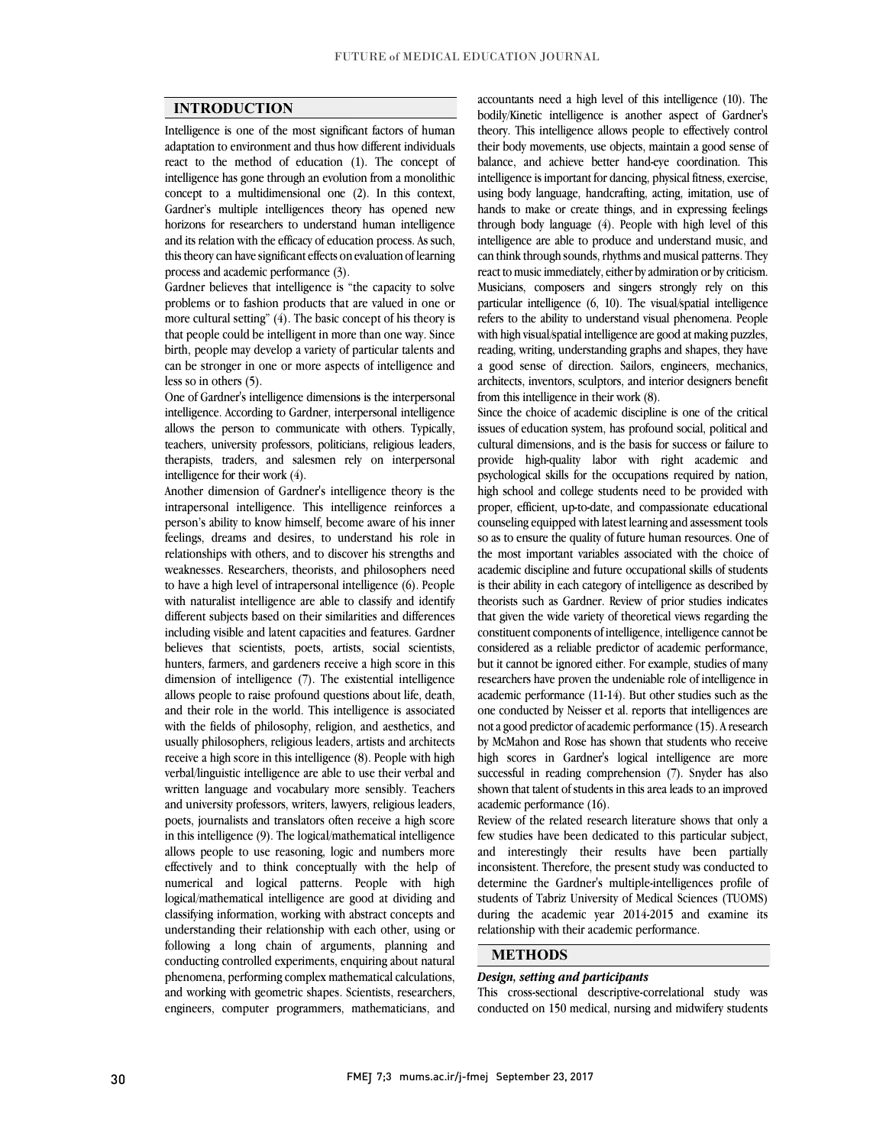## **INTRODUCTION**

 Intelligence is one of the most significant factors of human adaptation to environment and thus how different individuals react to the method of education (1). The concept of concept to a multidimensional one (2). In this context, Gardner's multiple intelligences theory has opened new horizons for researchers to understand human intelligence and its relation with the efficacy of education process. As such, this theory can have significant effects on evaluation of learning<br>process and accdemic performance (3) intelligence has gone through an evolution from a monolithic process and academic performance (3).

Gardner believes that intelligence is "the capacity to solve problems or to fashion products that are valued in one or more cultural setting" (4). The basic concept of his theory is birth, people may develop a variety of particular talents and can be stronger in one or more aspects of intelligence and that people could be intelligent in more than one way. Since less so in others (5).

 One of Gardner's intelligence dimensions is the interpersonal allows the person to communicate with others. Typically, teachers, university professors, politicians, religious leaders, therapists, traders, and salesmen rely on interpersonal intelligence. According to Gardner, interpersonal intelligence intelligence for their work (4).

miemgence for their work (4).<br>Another dimension of Gardner's intelligence theory is the intrapersonal intelligence. This intelligence reinforces a person's ability to know himself, become aware of his inner feelings, dreams and desires, to understand his role in weaknesses. Researchers, theorists, and philosophers need to have a high level of intrapersonal intelligence (6). People with naturalist intelligence are able to classify and identify different subjects based on their similarities and differences believes that scientists, poets, artists, social scientists, hunters, farmers, and gardeners receive a high score in this dimension of intelligence (7). The existential intelligence allows people to raise profound questions about life, death, with the fields of philosophy, religion, and aesthetics, and usually philosophers, religious leaders, artists and architects receive a high score in this intelligence (8). People with high verbal/linguistic intelligence are able to use their verbal and and university professors, writers, lawyers, religious leaders, poets, journalists and translators often receive a high score in this intelligence (9). The logical/mathematical intelligence allows people to use reasoning, logic and humbers more<br>effectively and to think conceptually with the help of numerical and logical patterns. People with high logical/mathematical intelligence are good at dividing and classifying information, working with abstract concepts and following a long chain of arguments, planning and conducting controlled experiments, enquiring about natural phenomena, performing complex mathematical calculations, and working with geometric shapes. Scientists, researchers, engineers, computer programmers, mathematicians, and relationships with others, and to discover his strengths and including visible and latent capacities and features. Gardner and their role in the world. This intelligence is associated written language and vocabulary more sensibly. Teachers allows people to use reasoning, logic and numbers more understanding their relationship with each other, using or

 bodily/Kinetic intelligence is another aspect of Gardner's theory. This intelligence allows people to effectively control their body movements, use objects, maintain a good sense of balance, and achieve better hand-eye coordination. This using body language, handcrafting, acting, imitation, use of hands to make or create things, and in expressing feelings through body language (4). People with high level of this intelligence are able to produce and understand music, and react to music immediately, either by admiration or by criticism. Musicians, composers and singers strongly rely on this particular intelligence (6, 10). The visual/spatial intelligence refers to the ability to understand visual phenomena. People reading, writing, understanding graphs and shapes, they have a good sense of direction. Sailors, engineers, mechanics, architects, inventors, sculptors, and interior designers benefit accountants need a high level of this intelligence (10). The intelligence is important for dancing, physical fitness, exercise, can think through sounds, rhythms and musical patterns. They with high visual/spatial intelligence are good at making puzzles, from this intelligence in their work (8).

 Since the choice of academic discipline is one of the critical issues of education system, has profound social, political and cultural dimensions, and is the basis for success or failure to provide high-quality labor with right academic and high school and college students need to be provided with proper, efficient, up-to-date, and compassionate educational counseling equipped with latest learning and assessment tools so as to ensure the quality of future human resources. One of academic discipline and future occupational skills of students is their ability in each category of intelligence as described by theorists such as Gardner. Review of prior studies indicates that given the wide variety of theoretical views regarding the considered as a reliable predictor of academic performance, but it cannot be ignored either. For example, studies of many researchers have proven the undeniable role of intelligence in academic performance  $(11-14)$ . But other studies such as the not a good predictor ofacademic performance (15). A research by McMahon and Rose has shown that students who receive high scores in Gardner's logical intelligence are more ں<br>یا shown that talent of students in this area leads to an improved<br>academic performance (16). psychological skills for the occupations required by nation, the most important variables associated with the choice of constituent components of intelligence, intelligence cannot be one conducted by Neisser et al. reports that intelligences are successful in reading comprehension (7). Snyder has also academic performance (16).

 Review of the related research literature shows that only a few studies have been dedicated to this particular subject, inconsistent. Therefore, the present study was conducted to determine the Gardner's multiple-intelligences profile of students of Tabriz University of Medical Sciences (TUOMS) during the academic year 2014-2015 and examine its  $\overline{a}$ and interestingly their results have been partially relationship with their academic performance.

## **METHODS**

### *Design, setting and participants*

 This cross-sectional descriptive-correlational study was conducted on 150 medical, nursing and midwifery students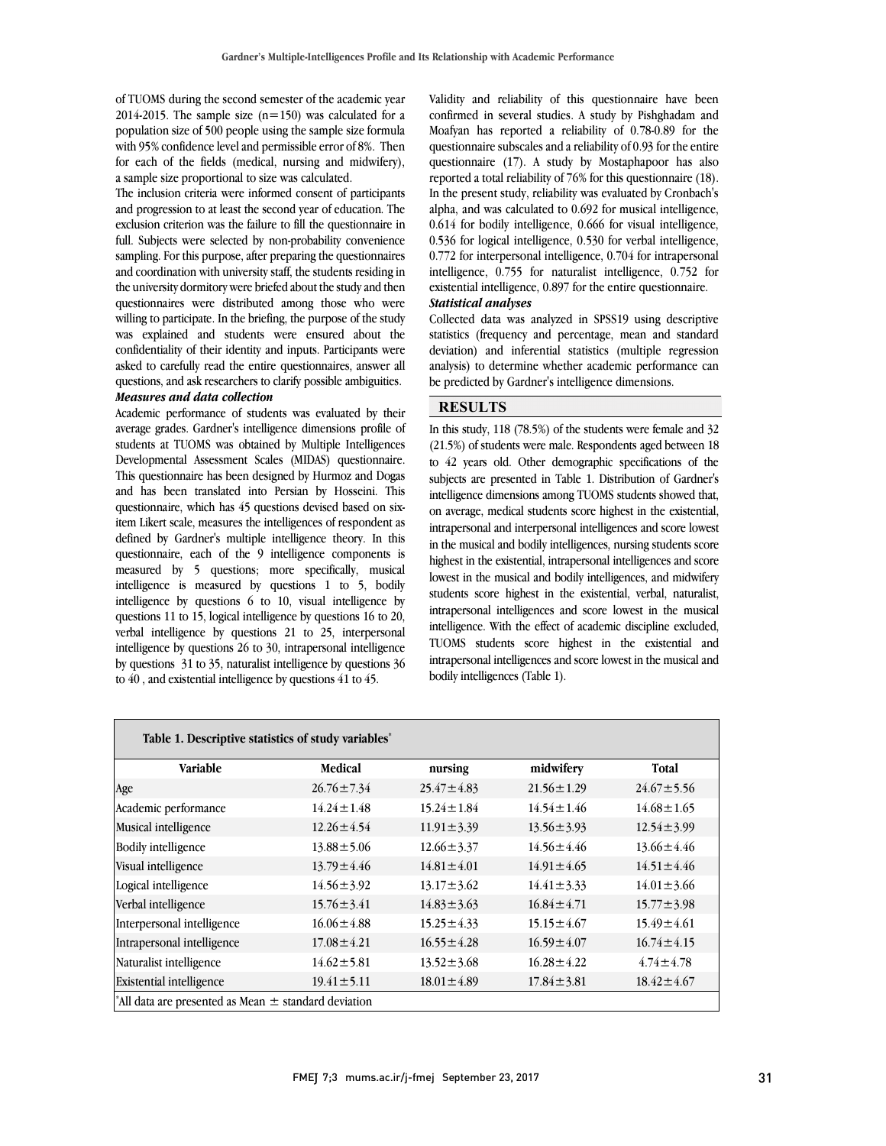of TUOMS during the second semester of the academic year<br>2014.2015. The seconds sites  $(n-150)$  and selected for a population size of 500 people using the sample size formula with 95% confidence level and permissible error of 8%. Then for each of the fields (medical, nursing and midwifery), 2014-2015. The sample size  $(n=150)$  was calculated for a a sample size proportional to size was calculated.

a sample size proportional to size was calculated.<br>The inclusion criteria were informed consent of participants and progression to at least the second year of education. The exclusion criterion was the failure to fill the questionnaire in full. Subjects were selected by non-probability convenience and coordination with university staff, the students residing in the university dormitory were briefed about the study and then questionnaires were distributed among those who were willing to participate. In the briefing, the purpose of the study confidentiality of their identity and inputs. Participants were asked to carefully read the entire questionnaires, answer all questions, and ask researchers to clarify possible ambiguities. sampling. For this purpose, after preparing the questionnaires was explained and students were ensured about the *Measures and data collection*

measures ana aata couection<br>Academic performance of students was evaluated by their average grades. Gardner's intelligence dimensions profile of students at TUOMS was obtained by Multiple Intelligences Developmental Assessment Scales (MIDAS) questionnaire. This questionnaire has been designed by Hurmoz and Dogas questionnaire, which has 45 questions devised based on six- item Likert scale, measures the intelligences of respondent as defined by Gardner's multiple intelligence theory. In this measured by 5 questions; more specifically, musical intelligence is measured by questions 1 to 5, bodily intelligence by questions 6 to 10, visual intelligence by questions 11 to 15, logical intelligence by questions 16 to 20, intelligence by questions  $21 \text{ to } 29$ , interpersonal intelligence by questions  $26$  to  $30$ , intrapersonal intelligence by questions 31 to 35, naturalist intelligence by questions 36 and has been translated into Persian by Hosseini. This questionnaire, each of the 9 intelligence components is verbal intelligence by questions 21 to 25, interpersonal to 40 , and existential intelligence by questions 41 to 45.

 confirmed in several studies. A study by Pishghadam and Moafyan has reported a reliability of 0.78-0.89 for the questionnaire subscales and a reliability of 0.93 for the entire questionnaire (17). A study by Mostaphapoor has also alpha, and was calculated to 0.692 for musical intelligence, 0.614 for bodily intelligence, 0.666 for visual intelligence, 0.536 for logical intelligence, 0.530 for verbal intelligence, intelligence, 0.755 for naturalist intelligence, 0.752 for Validity and reliability of this questionnaire have been reported a total reliability of 76% for this questionnaire (18). In the present study, reliability was evaluated by Cronbach's 0.772 for interpersonal intelligence, 0.704 for intrapersonal existential intelligence, 0.897 for the entire questionnaire. *Statistical analyses*

 Collected data was analyzed in SPSS19 using descriptive deviation) and inferential statistics (multiple regression analysis) to determine whether academic performance can statistics (frequency and percentage, mean and standard be predicted by Gardner's intelligence dimensions.

## **RESULTS**

 In this study, 118 (78.5%) of the students were female and 32 (21.5%) of students were male. Respondents aged between 18 to 42 years old. Other demographic specifications of the subjects are presented in Table 1. Distribution of Gardner's on average, medical students score highest in the existential, intrapersonal and interpersonal intelligences and score lowest in the musical and bodily intelligences, nursing students score highest in the existential, intrapersonal intelligences and score lowest in the musical and bodily intelligences, and midwifery intrapersonal intelligences and score lowest in the musical intelligence. With the effect of academic discipline excluded, TUOMS students score highest in the existential and intrapersonal intelligences and score lowest in the musical and intelligence dimensions among TUOMS students showed that, students score highest in the existential, verbal, naturalist, bodily intelligences (Table 1).

| Table 1. Descriptive statistics of study variables <sup>*</sup> |                  |                  |                  |                  |  |  |  |  |  |  |
|-----------------------------------------------------------------|------------------|------------------|------------------|------------------|--|--|--|--|--|--|
| Variable                                                        | Medical          | nursing          | midwifery        | Total            |  |  |  |  |  |  |
| Age                                                             | $26.76 \pm 7.34$ | $25.47 \pm 4.83$ | $21.56 \pm 1.29$ | $24.67 \pm 5.56$ |  |  |  |  |  |  |
| Academic performance                                            | $14.24 \pm 1.48$ | $15.24 \pm 1.84$ | $14.54 \pm 1.46$ | $14.68 \pm 1.65$ |  |  |  |  |  |  |
| Musical intelligence                                            | $12.26 \pm 4.54$ | $11.91 \pm 3.39$ | $13.56 \pm 3.93$ | $12.54 \pm 3.99$ |  |  |  |  |  |  |
| <b>Bodily intelligence</b>                                      | $13.88 \pm 5.06$ | $12.66 \pm 3.37$ | $14.56 \pm 4.46$ | $13.66 \pm 4.46$ |  |  |  |  |  |  |
| Visual intelligence                                             | $13.79 \pm 4.46$ | $14.81 \pm 4.01$ | $14.91 \pm 4.65$ | $14.51 \pm 4.46$ |  |  |  |  |  |  |
| Logical intelligence                                            | $14.56 \pm 3.92$ | $13.17 \pm 3.62$ | $14.41 \pm 3.33$ | $14.01 \pm 3.66$ |  |  |  |  |  |  |
| Verbal intelligence                                             | $15.76 \pm 3.41$ | $14.83 \pm 3.63$ | $16.84 \pm 4.71$ | $15.77 \pm 3.98$ |  |  |  |  |  |  |
| Interpersonal intelligence                                      | $16.06 \pm 4.88$ | $15.25 \pm 4.33$ | $15.15 \pm 4.67$ | $15.49 \pm 4.61$ |  |  |  |  |  |  |
| Intrapersonal intelligence                                      | $17.08 \pm 4.21$ | $16.55 \pm 4.28$ | $16.59 \pm 4.07$ | $16.74 \pm 4.15$ |  |  |  |  |  |  |
| Naturalist intelligence                                         | $14.62 \pm 5.81$ | $13.52 \pm 3.68$ | $16.28 \pm 4.22$ | $4.74 \pm 4.78$  |  |  |  |  |  |  |
| <b>Existential intelligence</b>                                 | $19.41 \pm 5.11$ | $18.01 \pm 4.89$ | $17.84 \pm 3.81$ | $18.42 \pm 4.67$ |  |  |  |  |  |  |

٦

Ξ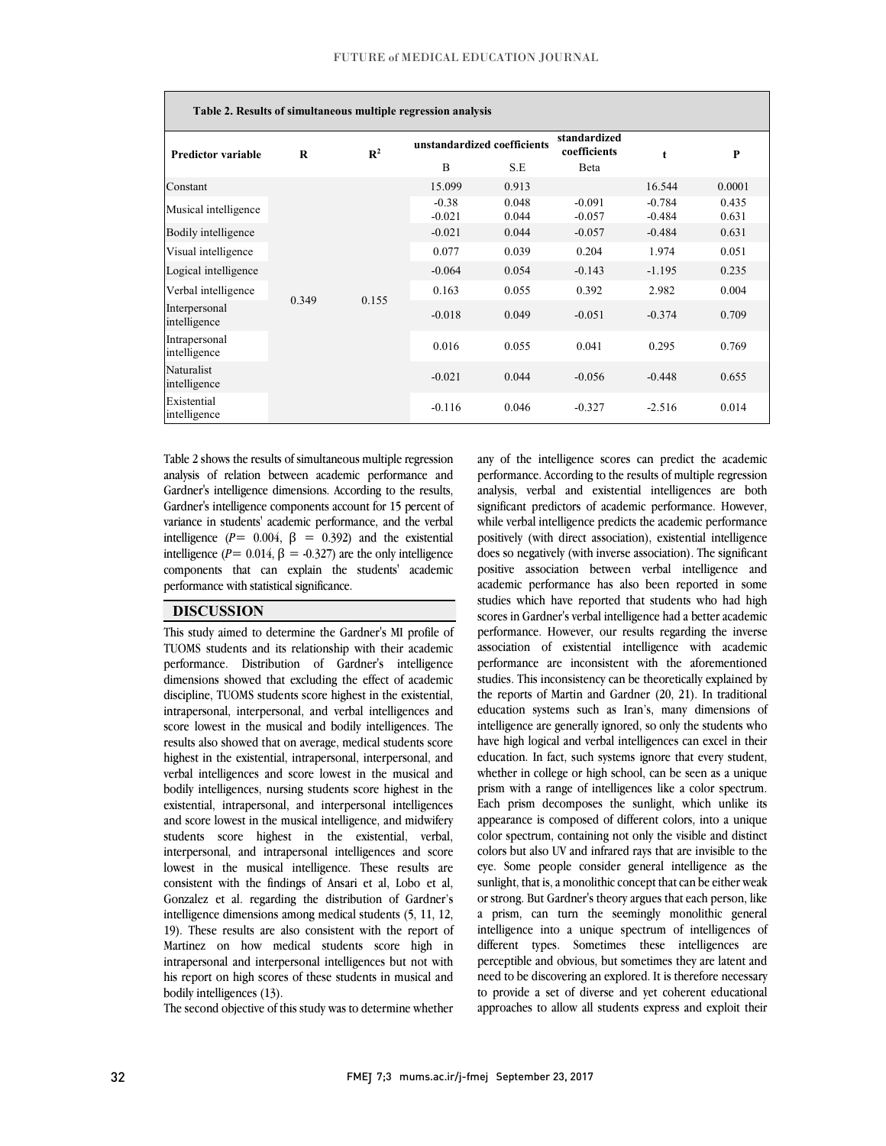| Table 2. Results of simultaneous multiple regression analysis |                |                |                             |                |                              |                      |                |  |  |  |
|---------------------------------------------------------------|----------------|----------------|-----------------------------|----------------|------------------------------|----------------------|----------------|--|--|--|
| <b>Predictor variable</b>                                     | $\mathbf R$    | $\mathbb{R}^2$ | unstandardized coefficients |                | standardized<br>coefficients | $\mathbf t$          | P              |  |  |  |
|                                                               |                |                | B                           | S.E            | <b>B</b> eta                 |                      |                |  |  |  |
| Constant                                                      | 0.349<br>0.155 |                | 15.099                      | 0.913          |                              | 16.544               | 0.0001         |  |  |  |
| Musical intelligence                                          |                |                | $-0.38$<br>$-0.021$         | 0.048<br>0.044 | $-0.091$<br>$-0.057$         | $-0.784$<br>$-0.484$ | 0.435<br>0.631 |  |  |  |
| Bodily intelligence                                           |                |                | $-0.021$                    | 0.044          | $-0.057$                     | $-0.484$             | 0.631          |  |  |  |
| Visual intelligence                                           |                |                | 0.077                       | 0.039          | 0.204                        | 1.974                | 0.051          |  |  |  |
| Logical intelligence                                          |                |                | $-0.064$                    | 0.054          | $-0.143$                     | $-1.195$             | 0.235          |  |  |  |
| Verbal intelligence                                           |                |                | 0.163                       | 0.055          | 0.392                        | 2.982                | 0.004          |  |  |  |
| Interpersonal<br>intelligence                                 |                |                | $-0.018$                    | 0.049          | $-0.051$                     | $-0.374$             | 0.709          |  |  |  |
| Intrapersonal<br>intelligence                                 |                |                | 0.016                       | 0.055          | 0.041                        | 0.295                | 0.769          |  |  |  |
| Naturalist<br>intelligence                                    |                |                | $-0.021$                    | 0.044          | $-0.056$                     | $-0.448$             | 0.655          |  |  |  |
| Existential<br>intelligence                                   |                | $-0.116$       | 0.046                       | $-0.327$       | $-2.516$                     | 0.014                |                |  |  |  |

 Table 2 shows the results of simultaneous multiple regression Gardner's intelligence dimensions. According to the results, Gardner's intelligence components account for 15 percent of variance in students' academic performance, and the verbal intelligence  $(P= 0.004, \beta = 0.392)$  and the existential intemperice  $(r = 0.014, p = 0.527)$  are the only intemperice<br>components that can explain the students' academic j analysis of relation between academic performance and intelligence ( $P = 0.014$ ,  $\beta = -0.327$ ) are the only intelligence performance with statistical significance.

## **DISCUSSION**

 This study aimed to determine the Gardner's MI profile of TUOMS students and its relationship with their academic performance. Distribution of Gardner's intelligence dimensions showed that excluding the effect of academic discipline, TUOMS students score highest in the existential, score lowest in the musical and bodily intelligences. The results also showed that on average, medical students score highest in the existential, intrapersonal, interpersonal, and verbal intelligences and score lowest in the musical and existential, intrapersonal, and interpersonal intelligences and score lowest in the musical intelligence, and midwifery students score highest in the existential, verbal, interpersonal, and intrapersonal intelligences and score<br>lowest in the musical intelligence. These results are consistent with the findings of Ansari et al, Lobo et al, Gonzalez et al. regarding the distribution of Gardner's intelligence dimensions among medical students (5, 11, 12, Martinez on how medical students score high in intrapersonal and interpersonal intelligences but not with his report on high scores of these students in musical and intrapersonal, interpersonal, and verbal intelligences and bodily intelligences, nursing students score highest in the interpersonal, and intrapersonal intelligences and score 19). These results are also consistent with the report of bodily intelligences (13).

The second objective of this study was to determine whether

 any of the intelligence scores can predict the academic analysis, verbal and existential intelligences are both significant predictors of academic performance. However, while verbal intelligence predicts the academic performance positively (with direct association), existential intelligence positive association between verbal intelligence and academic performance has also been reported in some studies which have reported that students who had high scores in Gardner's verbal intelligence had a better academic association of existential intelligence with academic performance are inconsistent with the aforementioned studies. This inconsistency can be theoretically explained by the reports of Martin and Gardner (20, 21). In traditional intelligence are generally ignored, so only the students who have high logical and verbal intelligences can excel in their education. In fact, such systems ignore that every student, whether in college or high school, can be seen as a unique Each prism decomposes the sunlight, which unlike its appearance is composed of different colors, into a unique color spectrum, containing not only the visible and distinct eye. Some people consider general intelligence as the sunlight, that is, a monolithic concept that can be either weak or strong. But Gardner's theory argues that each person, like a prism, can turn the seemingly monolithic general different types. Sometimes these intelligences are perceptible and obvious, but sometimes they are latent and need to be discovering an explored. It is therefore necessary to provide a set of diverse and yet coherent educational approaches to allow all students express and exploit their performance. According to the results of multiple regression does so negatively (with inverse association). The significant performance. However, our results regarding the inverse education systems such as Iran's, many dimensions of prism with a range of intelligences like a color spectrum. colors but also UV and infrared rays that are invisible to the intelligence into a unique spectrum of intelligences of